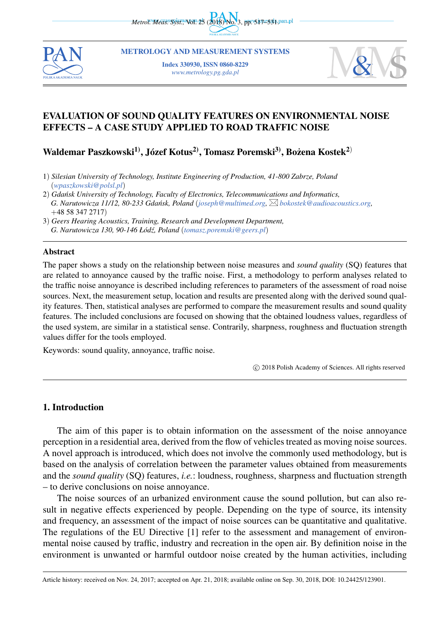*Metrol. Meas. Syst., Wol. 25 (2018) No. 3, pp. 5171-534.pan.pl* 



METROLOGY AND MEASUREMENT SYSTEMS

Index 330930, ISSN 0860-8229 *www.metrology.pg.gda.pl*



# EVALUATION OF SOUND QUALITY FEATURES ON ENVIRONMENTAL NOISE EFFECTS – A CASE STUDY APPLIED TO ROAD TRAFFIC NOISE

Waldemar Paszkowski $^{1)}$ , Józef Kotus $^{2)}$ , Tomasz Poremski $^{3)}$ , Bożena Kostek $^{2)}$ 

- 1) *Silesian University of Technology, Institute Engineering of Production, 41-800 Zabrze, Poland* (*wpaszkowski@polsl.pl*)
- 2) *Gda ´nsk University of Technology, Faculty of Electronics, Telecommunications and Informatics, G. Narutowicza 11/12, 80-233 Gda ´nsk, Poland* (*joseph@multimed.org, bokostek@audioacoustics.org,* +48 58 347 2717)

#### Abstract

The paper shows a study on the relationship between noise measures and *sound quality* (SQ) features that are related to annoyance caused by the traffic noise. First, a methodology to perform analyses related to the traffic noise annoyance is described including references to parameters of the assessment of road noise sources. Next, the measurement setup, location and results are presented along with the derived sound quality features. Then, statistical analyses are performed to compare the measurement results and sound quality features. The included conclusions are focused on showing that the obtained loudness values, regardless of the used system, are similar in a statistical sense. Contrarily, sharpness, roughness and fluctuation strength values differ for the tools employed.

Keywords: sound quality, annoyance, traffic noise.

*⃝*c 2018 Polish Academy of Sciences. All rights reserved

### 1. Introduction

The aim of this paper is to obtain information on the assessment of the noise annoyance perception in a residential area, derived from the flow of vehicles treated as moving noise sources. A novel approach is introduced, which does not involve the commonly used methodology, but is based on the analysis of correlation between the parameter values obtained from measurements and the *sound quality* (SQ) features, *i.e.*: loudness, roughness, sharpness and fluctuation strength – to derive conclusions on noise annoyance.

The noise sources of an urbanized environment cause the sound pollution, but can also result in negative effects experienced by people. Depending on the type of source, its intensity and frequency, an assessment of the impact of noise sources can be quantitative and qualitative. The regulations of the EU Directive [1] refer to the assessment and management of environmental noise caused by traffic, industry and recreation in the open air. By definition noise in the environment is unwanted or harmful outdoor noise created by the human activities, including

<sup>3</sup>) *Geers Hearing Acoustics, Training, Research and Development Department, G. Narutowicza 130, 90-146 Łód´z, Poland* (*tomasz.poremski@geers.pl*)

Article history: received on Nov. 24, 2017; accepted on Apr. 21, 2018; available online on Sep. 30, 2018, DOI: 10.24425/123901.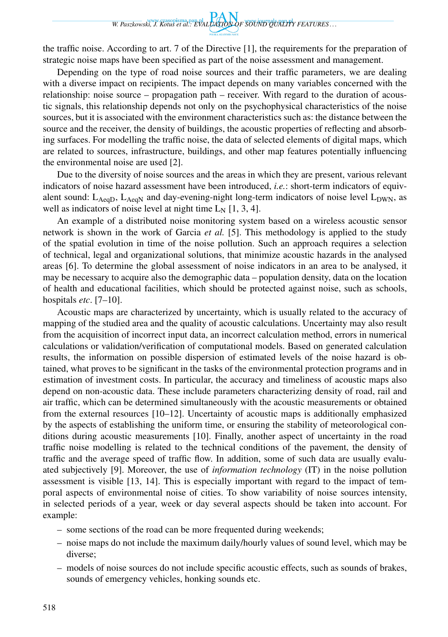the traffic noise. According to art. 7 of the Directive [1], the requirements for the preparation of strategic noise maps have been specified as part of the noise assessment and management.

Depending on the type of road noise sources and their traffic parameters, we are dealing with a diverse impact on recipients. The impact depends on many variables concerned with the relationship: noise source – propagation path – receiver. With regard to the duration of acoustic signals, this relationship depends not only on the psychophysical characteristics of the noise sources, but it is associated with the environment characteristics such as: the distance between the source and the receiver, the density of buildings, the acoustic properties of reflecting and absorbing surfaces. For modelling the traffic noise, the data of selected elements of digital maps, which are related to sources, infrastructure, buildings, and other map features potentially influencing the environmental noise are used [2].

Due to the diversity of noise sources and the areas in which they are present, various relevant indicators of noise hazard assessment have been introduced, *i.e.*: short-term indicators of equivalent sound:  $L_{AeqD}$ ,  $L_{AeqN}$  and day-evening-night long-term indicators of noise level  $L_{DWN}$ , as well as indicators of noise level at night time  $L_N$  [1, 3, 4].

An example of a distributed noise monitoring system based on a wireless acoustic sensor network is shown in the work of Garcia *et al.* [5]. This methodology is applied to the study of the spatial evolution in time of the noise pollution. Such an approach requires a selection of technical, legal and organizational solutions, that minimize acoustic hazards in the analysed areas [6]. To determine the global assessment of noise indicators in an area to be analysed, it may be necessary to acquire also the demographic data – population density, data on the location of health and educational facilities, which should be protected against noise, such as schools, hospitals *etc*. [7–10].

Acoustic maps are characterized by uncertainty, which is usually related to the accuracy of mapping of the studied area and the quality of acoustic calculations. Uncertainty may also result from the acquisition of incorrect input data, an incorrect calculation method, errors in numerical calculations or validation/verification of computational models. Based on generated calculation results, the information on possible dispersion of estimated levels of the noise hazard is obtained, what proves to be significant in the tasks of the environmental protection programs and in estimation of investment costs. In particular, the accuracy and timeliness of acoustic maps also depend on non-acoustic data. These include parameters characterizing density of road, rail and air traffic, which can be determined simultaneously with the acoustic measurements or obtained from the external resources [10–12]. Uncertainty of acoustic maps is additionally emphasized by the aspects of establishing the uniform time, or ensuring the stability of meteorological conditions during acoustic measurements [10]. Finally, another aspect of uncertainty in the road traffic noise modelling is related to the technical conditions of the pavement, the density of traffic and the average speed of traffic flow. In addition, some of such data are usually evaluated subjectively [9]. Moreover, the use of *information technology* (IT) in the noise pollution assessment is visible [13, 14]. This is especially important with regard to the impact of temporal aspects of environmental noise of cities. To show variability of noise sources intensity, in selected periods of a year, week or day several aspects should be taken into account. For example:

- some sections of the road can be more frequented during weekends;
- noise maps do not include the maximum daily/hourly values of sound level, which may be diverse;
- models of noise sources do not include specific acoustic effects, such as sounds of brakes, sounds of emergency vehicles, honking sounds etc.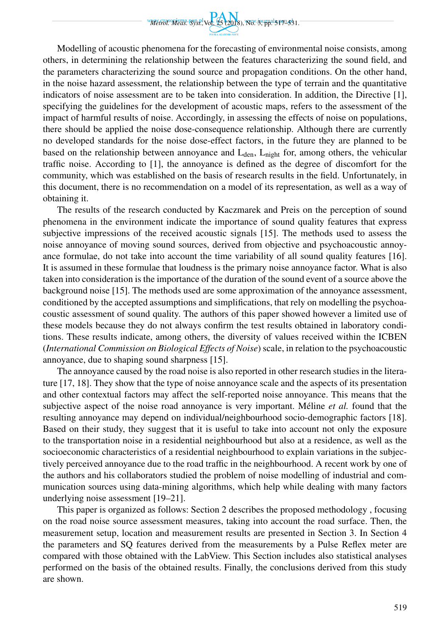

Modelling of acoustic phenomena for the forecasting of environmental noise consists, among others, in determining the relationship between the features characterizing the sound field, and the parameters characterizing the sound source and propagation conditions. On the other hand, in the noise hazard assessment, the relationship between the type of terrain and the quantitative indicators of noise assessment are to be taken into consideration. In addition, the Directive [1], specifying the guidelines for the development of acoustic maps, refers to the assessment of the impact of harmful results of noise. Accordingly, in assessing the effects of noise on populations, there should be applied the noise dose-consequence relationship. Although there are currently no developed standards for the noise dose-effect factors, in the future they are planned to be based on the relationship between annoyance and  $L_{den}$ ,  $L_{night}$  for, among others, the vehicular traffic noise. According to [1], the annoyance is defined as the degree of discomfort for the community, which was established on the basis of research results in the field. Unfortunately, in this document, there is no recommendation on a model of its representation, as well as a way of obtaining it.

The results of the research conducted by Kaczmarek and Preis on the perception of sound phenomena in the environment indicate the importance of sound quality features that express subjective impressions of the received acoustic signals [15]. The methods used to assess the noise annoyance of moving sound sources, derived from objective and psychoacoustic annoyance formulae, do not take into account the time variability of all sound quality features [16]. It is assumed in these formulae that loudness is the primary noise annoyance factor. What is also taken into consideration is the importance of the duration of the sound event of a source above the background noise [15]. The methods used are some approximation of the annoyance assessment, conditioned by the accepted assumptions and simplifications, that rely on modelling the psychoacoustic assessment of sound quality. The authors of this paper showed however a limited use of these models because they do not always confirm the test results obtained in laboratory conditions. These results indicate, among others, the diversity of values received within the ICBEN (*International Commission on Biological Effects of Noise*) scale, in relation to the psychoacoustic annoyance, due to shaping sound sharpness [15].

The annoyance caused by the road noise is also reported in other research studies in the literature [17, 18]. They show that the type of noise annoyance scale and the aspects of its presentation and other contextual factors may affect the self-reported noise annoyance. This means that the subjective aspect of the noise road annoyance is very important. Méline *et al.* found that the resulting annoyance may depend on individual/neighbourhood socio-demographic factors [18]. Based on their study, they suggest that it is useful to take into account not only the exposure to the transportation noise in a residential neighbourhood but also at a residence, as well as the socioeconomic characteristics of a residential neighbourhood to explain variations in the subjectively perceived annoyance due to the road traffic in the neighbourhood. A recent work by one of the authors and his collaborators studied the problem of noise modelling of industrial and communication sources using data-mining algorithms, which help while dealing with many factors underlying noise assessment [19–21].

This paper is organized as follows: Section 2 describes the proposed methodology , focusing on the road noise source assessment measures, taking into account the road surface. Then, the measurement setup, location and measurement results are presented in Section 3. In Section 4 the parameters and SQ features derived from the measurements by a Pulse Reflex meter are compared with those obtained with the LabView. This Section includes also statistical analyses performed on the basis of the obtained results. Finally, the conclusions derived from this study are shown.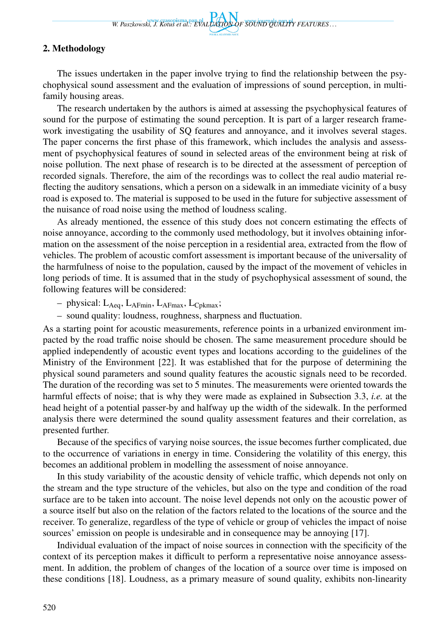# 2. Methodology

The issues undertaken in the paper involve trying to find the relationship between the psychophysical sound assessment and the evaluation of impressions of sound perception, in multifamily housing areas.

The research undertaken by the authors is aimed at assessing the psychophysical features of sound for the purpose of estimating the sound perception. It is part of a larger research framework investigating the usability of SQ features and annoyance, and it involves several stages. The paper concerns the first phase of this framework, which includes the analysis and assessment of psychophysical features of sound in selected areas of the environment being at risk of noise pollution. The next phase of research is to be directed at the assessment of perception of recorded signals. Therefore, the aim of the recordings was to collect the real audio material reflecting the auditory sensations, which a person on a sidewalk in an immediate vicinity of a busy road is exposed to. The material is supposed to be used in the future for subjective assessment of the nuisance of road noise using the method of loudness scaling.

As already mentioned, the essence of this study does not concern estimating the effects of noise annoyance, according to the commonly used methodology, but it involves obtaining information on the assessment of the noise perception in a residential area, extracted from the flow of vehicles. The problem of acoustic comfort assessment is important because of the universality of the harmfulness of noise to the population, caused by the impact of the movement of vehicles in long periods of time. It is assumed that in the study of psychophysical assessment of sound, the following features will be considered:

- physical:  $L_{Aeq}$ ,  $L_{AFmin}$ ,  $L_{AFmax}$ ,  $L_{Cpkmax}$ ;
- sound quality: loudness, roughness, sharpness and fluctuation.

As a starting point for acoustic measurements, reference points in a urbanized environment impacted by the road traffic noise should be chosen. The same measurement procedure should be applied independently of acoustic event types and locations according to the guidelines of the Ministry of the Environment [22]. It was established that for the purpose of determining the physical sound parameters and sound quality features the acoustic signals need to be recorded. The duration of the recording was set to 5 minutes. The measurements were oriented towards the harmful effects of noise; that is why they were made as explained in Subsection 3.3, *i.e.* at the head height of a potential passer-by and halfway up the width of the sidewalk. In the performed analysis there were determined the sound quality assessment features and their correlation, as presented further.

Because of the specifics of varying noise sources, the issue becomes further complicated, due to the occurrence of variations in energy in time. Considering the volatility of this energy, this becomes an additional problem in modelling the assessment of noise annoyance.

In this study variability of the acoustic density of vehicle traffic, which depends not only on the stream and the type structure of the vehicles, but also on the type and condition of the road surface are to be taken into account. The noise level depends not only on the acoustic power of a source itself but also on the relation of the factors related to the locations of the source and the receiver. To generalize, regardless of the type of vehicle or group of vehicles the impact of noise sources' emission on people is undesirable and in consequence may be annoying [17].

Individual evaluation of the impact of noise sources in connection with the specificity of the context of its perception makes it difficult to perform a representative noise annoyance assessment. In addition, the problem of changes of the location of a source over time is imposed on these conditions [18]. Loudness, as a primary measure of sound quality, exhibits non-linearity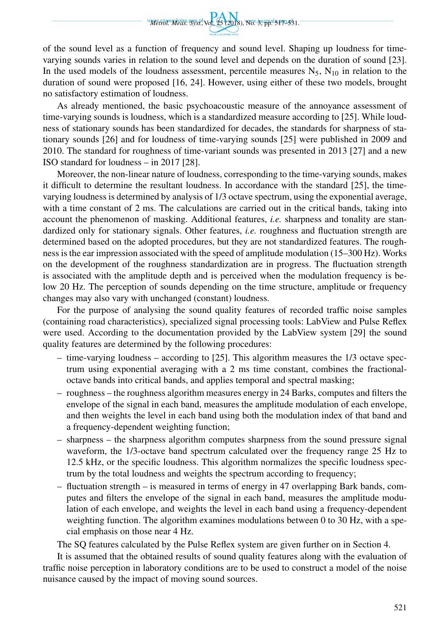

of the sound level as a function of frequency and sound level. Shaping up loudness for timevarying sounds varies in relation to the sound level and depends on the duration of sound [23]. In the used models of the loudness assessment, percentile measures  $N_5$ ,  $N_{10}$  in relation to the duration of sound were proposed [16, 24]. However, using either of these two models, brought no satisfactory estimation of loudness.

As already mentioned, the basic psychoacoustic measure of the annoyance assessment of time-varying sounds is loudness, which is a standardized measure according to [25]. While loudness of stationary sounds has been standardized for decades, the standards for sharpness of stationary sounds [26] and for loudness of time-varying sounds [25] were published in 2009 and 2010. The standard for roughness of time-variant sounds was presented in 2013 [27] and a new ISO standard for loudness – in 2017 [28].

Moreover, the non-linear nature of loudness, corresponding to the time-varying sounds, makes it difficult to determine the resultant loudness. In accordance with the standard [25], the timevarying loudness is determined by analysis of 1/3 octave spectrum, using the exponential average, with a time constant of 2 ms. The calculations are carried out in the critical bands, taking into account the phenomenon of masking. Additional features, *i.e.* sharpness and tonality are standardized only for stationary signals. Other features, *i.e.* roughness and fluctuation strength are determined based on the adopted procedures, but they are not standardized features. The roughness is the ear impression associated with the speed of amplitude modulation (15–300 Hz). Works on the development of the roughness standardization are in progress. The fluctuation strength is associated with the amplitude depth and is perceived when the modulation frequency is below 20 Hz. The perception of sounds depending on the time structure, amplitude or frequency changes may also vary with unchanged (constant) loudness.

For the purpose of analysing the sound quality features of recorded traffic noise samples (containing road characteristics), specialized signal processing tools: LabView and Pulse Reflex were used. According to the documentation provided by the LabView system [29] the sound quality features are determined by the following procedures:

- time-varying loudness according to [25]. This algorithm measures the 1/3 octave spectrum using exponential averaging with a 2 ms time constant, combines the fractionaloctave bands into critical bands, and applies temporal and spectral masking;
- roughness the roughness algorithm measures energy in 24 Barks, computes and filters the envelope of the signal in each band, measures the amplitude modulation of each envelope, and then weights the level in each band using both the modulation index of that band and a frequency-dependent weighting function;
- sharpness the sharpness algorithm computes sharpness from the sound pressure signal waveform, the 1/3-octave band spectrum calculated over the frequency range 25 Hz to 12.5 kHz, or the specific loudness. This algorithm normalizes the specific loudness spectrum by the total loudness and weights the spectrum according to frequency;
- fluctuation strength is measured in terms of energy in 47 overlapping Bark bands, computes and filters the envelope of the signal in each band, measures the amplitude modulation of each envelope, and weights the level in each band using a frequency-dependent weighting function. The algorithm examines modulations between 0 to 30 Hz, with a special emphasis on those near 4 Hz.

The SQ features calculated by the Pulse Reflex system are given further on in Section 4.

It is assumed that the obtained results of sound quality features along with the evaluation of traffic noise perception in laboratory conditions are to be used to construct a model of the noise nuisance caused by the impact of moving sound sources.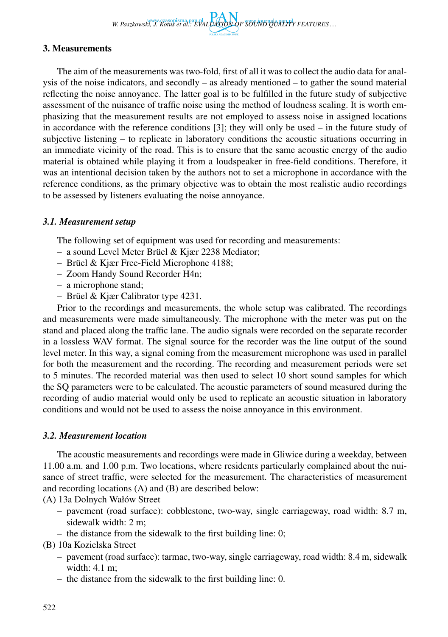W. Paszkowski, J. Kotus et al.: EVALUATION OF SOUND OUALITY FEATURES ...

# 3. Measurements

The aim of the measurements was two-fold, first of all it was to collect the audio data for analysis of the noise indicators, and secondly – as already mentioned – to gather the sound material reflecting the noise annoyance. The latter goal is to be fulfilled in the future study of subjective assessment of the nuisance of traffic noise using the method of loudness scaling. It is worth emphasizing that the measurement results are not employed to assess noise in assigned locations in accordance with the reference conditions [3]; they will only be used – in the future study of subjective listening – to replicate in laboratory conditions the acoustic situations occurring in an immediate vicinity of the road. This is to ensure that the same acoustic energy of the audio material is obtained while playing it from a loudspeaker in free-field conditions. Therefore, it was an intentional decision taken by the authors not to set a microphone in accordance with the reference conditions, as the primary objective was to obtain the most realistic audio recordings to be assessed by listeners evaluating the noise annoyance.

# *3.1. Measurement setup*

The following set of equipment was used for recording and measurements:

- a sound Level Meter Brüel & Kjær 2238 Mediator;
- Brüel & Kjær Free-Field Microphone 4188;
- Zoom Handy Sound Recorder H4n;
- a microphone stand;
- Brüel & Kjær Calibrator type 4231.

Prior to the recordings and measurements, the whole setup was calibrated. The recordings and measurements were made simultaneously. The microphone with the meter was put on the stand and placed along the traffic lane. The audio signals were recorded on the separate recorder in a lossless WAV format. The signal source for the recorder was the line output of the sound level meter. In this way, a signal coming from the measurement microphone was used in parallel for both the measurement and the recording. The recording and measurement periods were set to 5 minutes. The recorded material was then used to select 10 short sound samples for which the SQ parameters were to be calculated. The acoustic parameters of sound measured during the recording of audio material would only be used to replicate an acoustic situation in laboratory conditions and would not be used to assess the noise annoyance in this environment.

### *3.2. Measurement location*

The acoustic measurements and recordings were made in Gliwice during a weekday, between 11.00 a.m. and 1.00 p.m. Two locations, where residents particularly complained about the nuisance of street traffic, were selected for the measurement. The characteristics of measurement and recording locations (A) and (B) are described below:

(A) 13a Dolnych Wałów Street

- pavement (road surface): cobblestone, two-way, single carriageway, road width: 8.7 m, sidewalk width: 2 m;
- the distance from the sidewalk to the first building line: 0;

(B) 10a Kozielska Street

- pavement (road surface): tarmac, two-way, single carriageway, road width: 8.4 m, sidewalk width: 4.1 m;
- the distance from the sidewalk to the first building line: 0.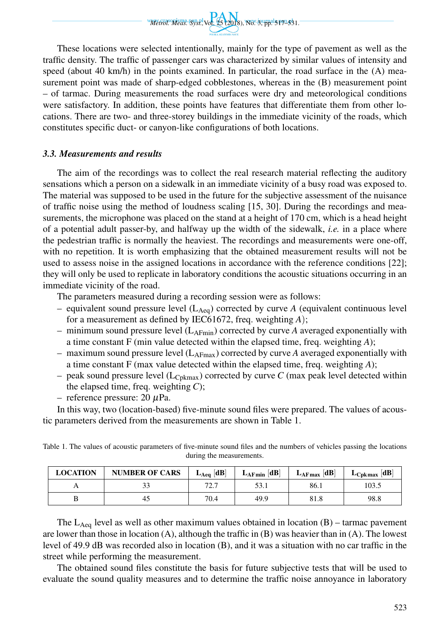

These locations were selected intentionally, mainly for the type of pavement as well as the traffic density. The traffic of passenger cars was characterized by similar values of intensity and speed (about 40 km/h) in the points examined. In particular, the road surface in the (A) measurement point was made of sharp-edged cobblestones, whereas in the (B) measurement point – of tarmac. During measurements the road surfaces were dry and meteorological conditions were satisfactory. In addition, these points have features that differentiate them from other locations. There are two- and three-storey buildings in the immediate vicinity of the roads, which constitutes specific duct- or canyon-like configurations of both locations.

## *3.3. Measurements and results*

The aim of the recordings was to collect the real research material reflecting the auditory sensations which a person on a sidewalk in an immediate vicinity of a busy road was exposed to. The material was supposed to be used in the future for the subjective assessment of the nuisance of traffic noise using the method of loudness scaling [15, 30]. During the recordings and measurements, the microphone was placed on the stand at a height of 170 cm, which is a head height of a potential adult passer-by, and halfway up the width of the sidewalk, *i.e.* in a place where the pedestrian traffic is normally the heaviest. The recordings and measurements were one-off, with no repetition. It is worth emphasizing that the obtained measurement results will not be used to assess noise in the assigned locations in accordance with the reference conditions [22]; they will only be used to replicate in laboratory conditions the acoustic situations occurring in an immediate vicinity of the road.

The parameters measured during a recording session were as follows:

- equivalent sound pressure level  $(L_{\text{Aeq}})$  corrected by curve *A* (equivalent continuous level for a measurement as defined by IEC61672, freq. weighting *A*);
- $-$  minimum sound pressure level ( $L_{\text{AFmin}}$ ) corrected by curve *A* averaged exponentially with a time constant F (min value detected within the elapsed time, freq. weighting *A*);
- maximum sound pressure level (LAFmax) corrected by curve *A* averaged exponentially with a time constant F (max value detected within the elapsed time, freq. weighting *A*);
- peak sound pressure level  $(L_{\text{Cokmax}})$  corrected by curve *C* (max peak level detected within the elapsed time, freq. weighting *C*);
- reference pressure:  $20 \mu Pa$ .

In this way, two (location-based) five-minute sound files were prepared. The values of acoustic parameters derived from the measurements are shown in Table 1.

| <b>LOCATION</b> | <b>NUMBER OF CARS</b> | $L_{Aeq}$ [dB]   | $L_{\text{AFmin}}$ [dB] | $L_{\text{AFmax}}$ [dB] | dB<br>$L_{\rm Cpkmax}$ |
|-----------------|-----------------------|------------------|-------------------------|-------------------------|------------------------|
| $\Gamma$        |                       | 72.7<br><u>.</u> | 53.1                    | 86.1                    | 103.5                  |
|                 |                       | 70.4             | 49.9                    | 81.8                    | 98.8                   |

Table 1. The values of acoustic parameters of five-minute sound files and the numbers of vehicles passing the locations during the measurements.

The  $L_{Aeq}$  level as well as other maximum values obtained in location (B) – tarmac pavement are lower than those in location  $(A)$ , although the traffic in  $(B)$  was heavier than in  $(A)$ . The lowest level of 49.9 dB was recorded also in location (B), and it was a situation with no car traffic in the street while performing the measurement.

The obtained sound files constitute the basis for future subjective tests that will be used to evaluate the sound quality measures and to determine the traffic noise annoyance in laboratory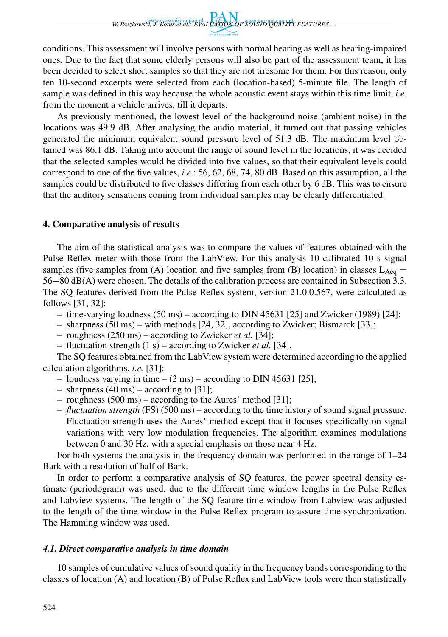*W. Paszkowski, J. Kotus et al.: EVALUATION OF SOUND QUALITY FEATURES . . .*

conditions. This assessment will involve persons with normal hearing as well as hearing-impaired ones. Due to the fact that some elderly persons will also be part of the assessment team, it has been decided to select short samples so that they are not tiresome for them. For this reason, only ten 10-second excerpts were selected from each (location-based) 5-minute file. The length of sample was defined in this way because the whole acoustic event stays within this time limit, *i.e.* from the moment a vehicle arrives, till it departs.

As previously mentioned, the lowest level of the background noise (ambient noise) in the locations was 49.9 dB. After analysing the audio material, it turned out that passing vehicles generated the minimum equivalent sound pressure level of 51.3 dB. The maximum level obtained was 86.1 dB. Taking into account the range of sound level in the locations, it was decided that the selected samples would be divided into five values, so that their equivalent levels could correspond to one of the five values, *i.e.*: 56, 62, 68, 74, 80 dB. Based on this assumption, all the samples could be distributed to five classes differing from each other by 6 dB. This was to ensure that the auditory sensations coming from individual samples may be clearly differentiated.

#### 4. Comparative analysis of results

The aim of the statistical analysis was to compare the values of features obtained with the Pulse Reflex meter with those from the LabView. For this analysis 10 calibrated 10 s signal samples (five samples from (A) location and five samples from (B) location) in classes  $L_{Aeq}$  = 56*−*80 dB(A) were chosen. The details of the calibration process are contained in Subsection 3.3. The SQ features derived from the Pulse Reflex system, version 21.0.0.567, were calculated as follows [31, 32]:

- time-varying loudness (50 ms) according to DIN 45631 [25] and Zwicker (1989) [24];
- sharpness (50 ms) with methods [24, 32], according to Zwicker; Bismarck [33];
- roughness (250 ms) according to Zwicker *et al.* [34];
- fluctuation strength (1 s) according to Zwicker *et al.* [34].

The SQ features obtained from the LabView system were determined according to the applied calculation algorithms, *i.e.* [31]:

- loudness varying in time  $(2 \text{ ms})$  according to DIN 45631 [25];
- sharpness (40 ms) according to [31];
- roughness (500 ms) according to the Aures' method [31];
- *fluctuation strength* (FS) (500 ms) according to the time history of sound signal pressure. Fluctuation strength uses the Aures' method except that it focuses specifically on signal variations with very low modulation frequencies. The algorithm examines modulations between 0 and 30 Hz, with a special emphasis on those near 4 Hz.

For both systems the analysis in the frequency domain was performed in the range of 1–24 Bark with a resolution of half of Bark.

In order to perform a comparative analysis of SQ features, the power spectral density estimate (periodogram) was used, due to the different time window lengths in the Pulse Reflex and Labview systems. The length of the SQ feature time window from Labview was adjusted to the length of the time window in the Pulse Reflex program to assure time synchronization. The Hamming window was used.

#### *4.1. Direct comparative analysis in time domain*

10 samples of cumulative values of sound quality in the frequency bands corresponding to the classes of location (A) and location (B) of Pulse Reflex and LabView tools were then statistically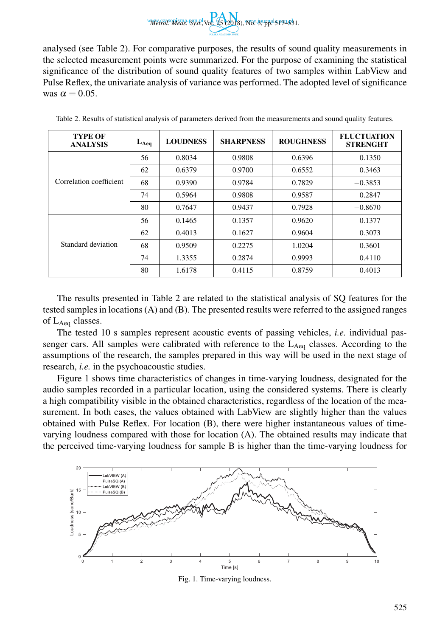We can be a specific the contract of the contract of the contract of the contract of the contract of the contract of the contract of the contract of the contract of the contract of the contract of the contract of the contr

analysed (see Table 2). For comparative purposes, the results of sound quality measurements in the selected measurement points were summarized. For the purpose of examining the statistical significance of the distribution of sound quality features of two samples within LabView and Pulse Reflex, the univariate analysis of variance was performed. The adopted level of significance was  $\alpha = 0.05$ .

| <b>TYPE OF</b><br><b>ANALYSIS</b> | $L_{Aeq}$ | <b>LOUDNESS</b> | <b>SHARPNESS</b> | <b>ROUGHNESS</b> | <b>FLUCTUATION</b><br><b>STRENGHT</b> |
|-----------------------------------|-----------|-----------------|------------------|------------------|---------------------------------------|
| Correlation coefficient           | 56        | 0.8034          | 0.9808           | 0.6396           | 0.1350                                |
|                                   | 62        | 0.6379          | 0.9700           | 0.6552           | 0.3463                                |
|                                   | 68        | 0.9390          | 0.9784           | 0.7829           | $-0.3853$                             |
|                                   | 74        | 0.5964          | 0.9808           | 0.9587           | 0.2847                                |
|                                   | 80        | 0.7647          | 0.9437           | 0.7928           | $-0.8670$                             |
|                                   | 56        | 0.1465          | 0.1357           | 0.9620           | 0.1377                                |
|                                   | 62        | 0.4013          | 0.1627           | 0.9604           | 0.3073                                |
| Standard deviation                | 68        | 0.9509          | 0.2275           | 1.0204           | 0.3601                                |
|                                   | 74        | 1.3355          | 0.2874           | 0.9993           | 0.4110                                |
|                                   | 80        | 1.6178          | 0.4115           | 0.8759           | 0.4013                                |

Table 2. Results of statistical analysis of parameters derived from the measurements and sound quality features.

The results presented in Table 2 are related to the statistical analysis of SQ features for the tested samples in locations (A) and (B). The presented results were referred to the assigned ranges of LAeq classes.

The tested 10 s samples represent acoustic events of passing vehicles, *i.e.* individual passenger cars. All samples were calibrated with reference to the  $L_{Aeq}$  classes. According to the assumptions of the research, the samples prepared in this way will be used in the next stage of research, *i.e.* in the psychoacoustic studies.

Figure 1 shows time characteristics of changes in time-varying loudness, designated for the audio samples recorded in a particular location, using the considered systems. There is clearly a high compatibility visible in the obtained characteristics, regardless of the location of the measurement. In both cases, the values obtained with LabView are slightly higher than the values obtained with Pulse Reflex. For location (B), there were higher instantaneous values of timevarying loudness compared with those for location (A). The obtained results may indicate that the perceived time-varying loudness for sample B is higher than the time-varying loudness for



Fig. 1. Time-varying loudness.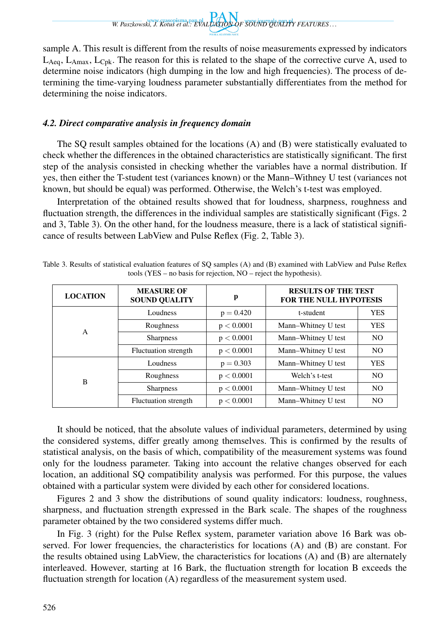*W. Paszkowski, J. Kotus et al.: EVALUATION OF SOUND QUALITY FEATURES . . .*

sample A. This result is different from the results of noise measurements expressed by indicators  $L_{Aeq}$ ,  $L_{Amax}$ ,  $L_{Cpk}$ . The reason for this is related to the shape of the corrective curve A, used to determine noise indicators (high dumping in the low and high frequencies). The process of determining the time-varying loudness parameter substantially differentiates from the method for determining the noise indicators.

## *4.2. Direct comparative analysis in frequency domain*

The SQ result samples obtained for the locations (A) and (B) were statistically evaluated to check whether the differences in the obtained characteristics are statistically significant. The first step of the analysis consisted in checking whether the variables have a normal distribution. If yes, then either the T-student test (variances known) or the Mann–Withney U test (variances not known, but should be equal) was performed. Otherwise, the Welch's t-test was employed.

Interpretation of the obtained results showed that for loudness, sharpness, roughness and fluctuation strength, the differences in the individual samples are statistically significant (Figs. 2 and 3, Table 3). On the other hand, for the loudness measure, there is a lack of statistical significance of results between LabView and Pulse Reflex (Fig. 2, Table 3).

| <b>LOCATION</b> | <b>MEASURE OF</b><br><b>SOUND QUALITY</b> | p           | <b>RESULTS OF THE TEST</b><br><b>FOR THE NULL HYPOTESIS</b> |                |
|-----------------|-------------------------------------------|-------------|-------------------------------------------------------------|----------------|
| A               | Loudness                                  | $p = 0.420$ | t-student                                                   | <b>YES</b>     |
|                 | Roughness                                 | p < 0.0001  | Mann-Whitney U test                                         | <b>YES</b>     |
|                 | <b>Sharpness</b>                          | p < 0.0001  | Mann-Whitney U test                                         | NO.            |
|                 | Fluctuation strength                      | p < 0.0001  | Mann-Whitney U test                                         | N <sub>O</sub> |
| B               | Loudness                                  | $p = 0.303$ | Mann-Whitney U test                                         | <b>YES</b>     |
|                 | Roughness                                 | p < 0.0001  | Welch's t-test                                              | N <sub>O</sub> |
|                 | <b>Sharpness</b>                          | p < 0.0001  | Mann-Whitney U test                                         | N <sub>O</sub> |
|                 | <b>Fluctuation</b> strength               | p < 0.0001  | Mann-Whitney U test                                         | N <sub>O</sub> |

Table 3. Results of statistical evaluation features of SQ samples (A) and (B) examined with LabView and Pulse Reflex tools (YES – no basis for rejection, NO – reject the hypothesis).

It should be noticed, that the absolute values of individual parameters, determined by using the considered systems, differ greatly among themselves. This is confirmed by the results of statistical analysis, on the basis of which, compatibility of the measurement systems was found only for the loudness parameter. Taking into account the relative changes observed for each location, an additional SQ compatibility analysis was performed. For this purpose, the values obtained with a particular system were divided by each other for considered locations.

Figures 2 and 3 show the distributions of sound quality indicators: loudness, roughness, sharpness, and fluctuation strength expressed in the Bark scale. The shapes of the roughness parameter obtained by the two considered systems differ much.

In Fig. 3 (right) for the Pulse Reflex system, parameter variation above 16 Bark was observed. For lower frequencies, the characteristics for locations (A) and (B) are constant. For the results obtained using LabView, the characteristics for locations (A) and (B) are alternately interleaved. However, starting at 16 Bark, the fluctuation strength for location B exceeds the fluctuation strength for location (A) regardless of the measurement system used.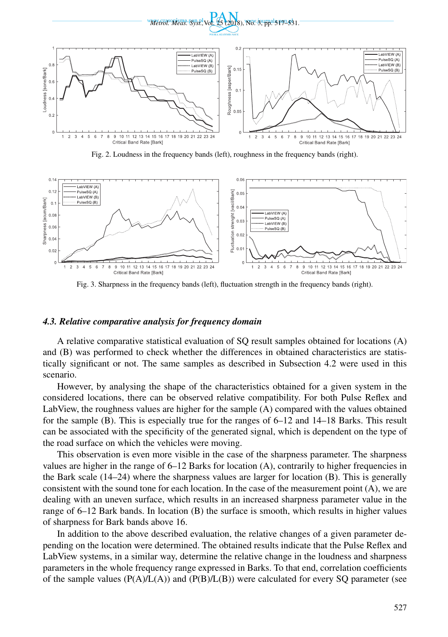

Fig. 2. Loudness in the frequency bands (left), roughness in the frequency bands (right).



Fig. 3. Sharpness in the frequency bands (left), fluctuation strength in the frequency bands (right).

#### *4.3. Relative comparative analysis for frequency domain*

A relative comparative statistical evaluation of SQ result samples obtained for locations (A) and (B) was performed to check whether the differences in obtained characteristics are statistically significant or not. The same samples as described in Subsection 4.2 were used in this scenario.

However, by analysing the shape of the characteristics obtained for a given system in the considered locations, there can be observed relative compatibility. For both Pulse Reflex and LabView, the roughness values are higher for the sample (A) compared with the values obtained for the sample (B). This is especially true for the ranges of 6–12 and 14–18 Barks. This result can be associated with the specificity of the generated signal, which is dependent on the type of the road surface on which the vehicles were moving.

This observation is even more visible in the case of the sharpness parameter. The sharpness values are higher in the range of  $6-12$  Barks for location (A), contrarily to higher frequencies in the Bark scale (14–24) where the sharpness values are larger for location (B). This is generally consistent with the sound tone for each location. In the case of the measurement point  $(A)$ , we are dealing with an uneven surface, which results in an increased sharpness parameter value in the range of 6–12 Bark bands. In location (B) the surface is smooth, which results in higher values of sharpness for Bark bands above 16.

In addition to the above described evaluation, the relative changes of a given parameter depending on the location were determined. The obtained results indicate that the Pulse Reflex and LabView systems, in a similar way, determine the relative change in the loudness and sharpness parameters in the whole frequency range expressed in Barks. To that end, correlation coefficients of the sample values  $(P(A)/L(A))$  and  $(P(B)/L(B))$  were calculated for every SQ parameter (see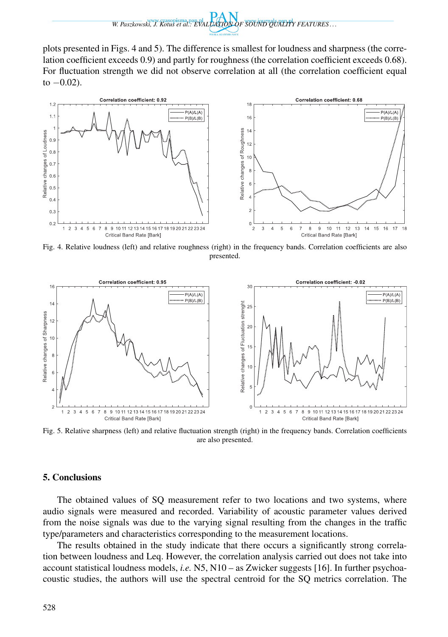plots presented in Figs. 4 and 5). The difference is smallest for loudness and sharpness (the correlation coefficient exceeds 0.9) and partly for roughness (the correlation coefficient exceeds 0.68). For fluctuation strength we did not observe correlation at all (the correlation coefficient equal to *−*0.02).



Fig. 4. Relative loudness (left) and relative roughness (right) in the frequency bands. Correlation coefficients are also presented.



Fig. 5. Relative sharpness (left) and relative fluctuation strength (right) in the frequency bands. Correlation coefficients are also presented.

### 5. Conclusions

The obtained values of SQ measurement refer to two locations and two systems, where audio signals were measured and recorded. Variability of acoustic parameter values derived from the noise signals was due to the varying signal resulting from the changes in the traffic type/parameters and characteristics corresponding to the measurement locations.

The results obtained in the study indicate that there occurs a significantly strong correlation between loudness and Leq. However, the correlation analysis carried out does not take into account statistical loudness models, *i.e.* N5, N10 – as Zwicker suggests [16]. In further psychoacoustic studies, the authors will use the spectral centroid for the SQ metrics correlation. The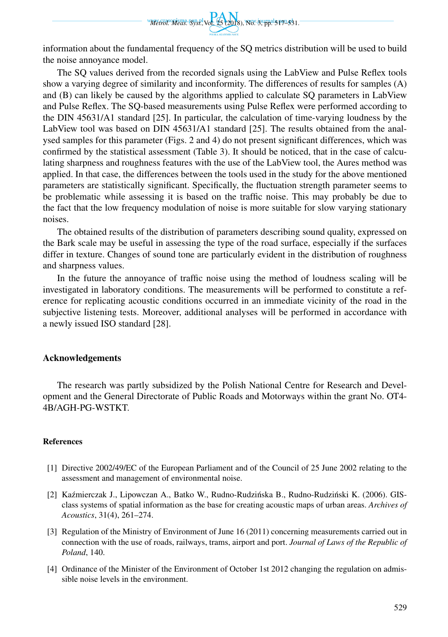

information about the fundamental frequency of the SQ metrics distribution will be used to build the noise annoyance model.

The SQ values derived from the recorded signals using the LabView and Pulse Reflex tools show a varying degree of similarity and inconformity. The differences of results for samples (A) and (B) can likely be caused by the algorithms applied to calculate SQ parameters in LabView and Pulse Reflex. The SQ-based measurements using Pulse Reflex were performed according to the DIN 45631/A1 standard [25]. In particular, the calculation of time-varying loudness by the LabView tool was based on DIN 45631/A1 standard [25]. The results obtained from the analysed samples for this parameter (Figs. 2 and 4) do not present significant differences, which was confirmed by the statistical assessment (Table 3). It should be noticed, that in the case of calculating sharpness and roughness features with the use of the LabView tool, the Aures method was applied. In that case, the differences between the tools used in the study for the above mentioned parameters are statistically significant. Specifically, the fluctuation strength parameter seems to be problematic while assessing it is based on the traffic noise. This may probably be due to the fact that the low frequency modulation of noise is more suitable for slow varying stationary noises.

The obtained results of the distribution of parameters describing sound quality, expressed on the Bark scale may be useful in assessing the type of the road surface, especially if the surfaces differ in texture. Changes of sound tone are particularly evident in the distribution of roughness and sharpness values.

In the future the annoyance of traffic noise using the method of loudness scaling will be investigated in laboratory conditions. The measurements will be performed to constitute a reference for replicating acoustic conditions occurred in an immediate vicinity of the road in the subjective listening tests. Moreover, additional analyses will be performed in accordance with a newly issued ISO standard [28].

### Acknowledgements

The research was partly subsidized by the Polish National Centre for Research and Development and the General Directorate of Public Roads and Motorways within the grant No. OT4- 4B/AGH-PG-WSTKT.

#### References

- [1] Directive 2002/49/EC of the European Parliament and of the Council of 25 June 2002 relating to the assessment and management of environmental noise.
- [2] Kaźmierczak J., Lipowczan A., Batko W., Rudno-Rudzińska B., Rudno-Rudziński K. (2006). GISclass systems of spatial information as the base for creating acoustic maps of urban areas. *Archives of Acoustics*, 31(4), 261–274.
- [3] Regulation of the Ministry of Environment of June 16 (2011) concerning measurements carried out in connection with the use of roads, railways, trams, airport and port. *Journal of Laws of the Republic of Poland*, 140.
- [4] Ordinance of the Minister of the Environment of October 1st 2012 changing the regulation on admissible noise levels in the environment.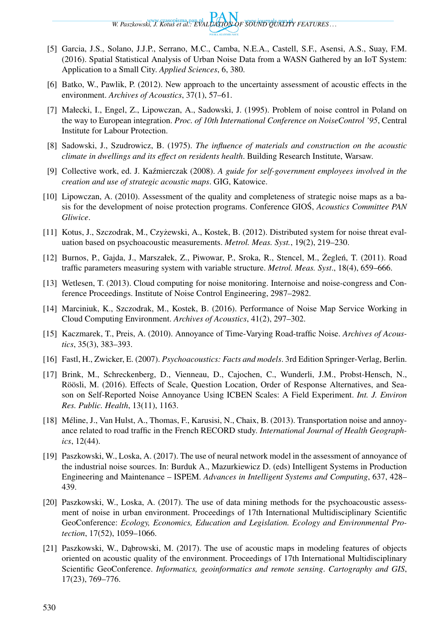*W. Paszkowski, J. Kotus et al.: EVALUATION OF SOUND QUALITY FEATURES . . .*

- [5] Garcia, J.S., Solano, J.J.P., Serrano, M.C., Camba, N.E.A., Castell, S.F., Asensi, A.S., Suay, F.M. (2016). Spatial Statistical Analysis of Urban Noise Data from a WASN Gathered by an IoT System: Application to a Small City. *Applied Sciences*, 6, 380.
- [6] Batko, W., Pawlik, P. (2012). New approach to the uncertainty assessment of acoustic effects in the environment. *Archives of Acoustics*, 37(1), 57–61.
- [7] Małecki, I., Engel, Z., Lipowczan, A., Sadowski, J. (1995). Problem of noise control in Poland on the way to European integration. *Proc. of 10th International Conference on NoiseControl '95*, Central Institute for Labour Protection.
- [8] Sadowski, J., Szudrowicz, B. (1975). *The influence of materials and construction on the acoustic climate in dwellings and its effect on residents health*. Building Research Institute, Warsaw.
- [9] Collective work, ed. J. Ka´zmierczak (2008). *A guide for self-government employees involved in the creation and use of strategic acoustic maps*. GIG, Katowice.
- [10] Lipowczan, A. (2010). Assessment of the quality and completeness of strategic noise maps as a basis for the development of noise protection programs. Conference GIOS, *Acoustics Committee PAN Gliwice*.
- [11] Kotus, J., Szczodrak, M., Czyzewski, A., Kostek, B. (2012). Distributed system for noise threat eval- ˙ uation based on psychoacoustic measurements. *Metrol. Meas. Syst.*, 19(2), 219–230.
- [12] Burnos, P., Gajda, J., Marszałek, Z., Piwowar, P., Sroka, R., Stencel, M., Żegleń, T. (2011). Road traffic parameters measuring system with variable structure. *Metrol. Meas. Syst*., 18(4), 659–666.
- [13] Wetlesen, T. (2013). Cloud computing for noise monitoring. Internoise and noise-congress and Conference Proceedings. Institute of Noise Control Engineering, 2987–2982.
- [14] Marciniuk, K., Szczodrak, M., Kostek, B. (2016). Performance of Noise Map Service Working in Cloud Computing Environment. *Archives of Acoustics*, 41(2), 297–302.
- [15] Kaczmarek, T., Preis, A. (2010). Annoyance of Time-Varying Road-traffic Noise. *Archives of Acoustics*, 35(3), 383–393.
- [16] Fastl, H., Zwicker, E. (2007). *Psychoacoustics: Facts and models*. 3rd Edition Springer-Verlag, Berlin.
- [17] Brink, M., Schreckenberg, D., Vienneau, D., Cajochen, C., Wunderli, J.M., Probst-Hensch, N., Röösli, M. (2016). Effects of Scale, Question Location, Order of Response Alternatives, and Season on Self-Reported Noise Annoyance Using ICBEN Scales: A Field Experiment. *Int. J. Environ Res. Public. Health*, 13(11), 1163.
- [18] Méline, J., Van Hulst, A., Thomas, F., Karusisi, N., Chaix, B. (2013). Transportation noise and annoyance related to road traffic in the French RECORD study. *International Journal of Health Geographics*, 12(44).
- [19] Paszkowski, W., Loska, A. (2017). The use of neural network model in the assessment of annoyance of the industrial noise sources. In: Burduk A., Mazurkiewicz D. (eds) Intelligent Systems in Production Engineering and Maintenance – ISPEM. *Advances in Intelligent Systems and Computing*, 637, 428– 439.
- [20] Paszkowski, W., Loska, A. (2017). The use of data mining methods for the psychoacoustic assessment of noise in urban environment. Proceedings of 17th International Multidisciplinary Scientific GeoConference: *Ecology, Economics, Education and Legislation. Ecology and Environmental Protection*, 17(52), 1059–1066.
- [21] Paszkowski, W., Dąbrowski, M. (2017). The use of acoustic maps in modeling features of objects oriented on acoustic quality of the environment. Proceedings of 17th International Multidisciplinary Scientific GeoConference. *Informatics, geoinformatics and remote sensing*. *Cartography and GIS*, 17(23), 769–776.